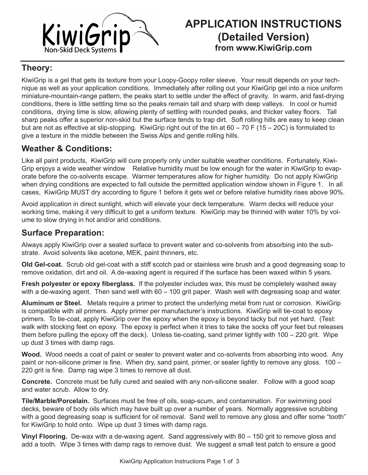

### **Theory:**

KiwiGrip is a gel that gets its texture from your Loopy-Goopy roller sleeve. Your result depends on your technique as well as your application conditions. Immediately after rolling out your KiwiGrip gel into a nice uniform miniature-mountain-range pattern, the peaks start to settle under the effect of gravity. In warm, arid fast-drying conditions, there is little settling time so the peaks remain tall and sharp with deep valleys. In cool or humid conditions, drying time is slow, allowing plenty of settling with rounded peaks, and thicker valley floors. Tall sharp peaks offer a superior non-skid but the surface tends to trap dirt. Soft rolling hills are easy to keep clean but are not as effective at slip-stopping. KiwiGrip right out of the tin at 60 – 70 F (15 – 20C) is formulated to give a texture in the middle between the Swiss Alps and gentle rolling hills.

## **Weather & Conditions:**

Like all paint products, KiwiGrip will cure properly only under suitable weather conditions. Fortunately, Kiwi-Grip enjoys a wide weather window Relative humidity must be low enough for the water in KiwiGrip to evaporate before the co-solvents escape. Warmer temperatures allow for higher humidity. Do not apply KiwiGrip when drying conditions are expected to fall outside the permitted application window shown in Figure 1. In all cases, KiwiGrip MUST dry according to figure 1 before it gets wet or before relative humidity rises above 90%.

Avoid application in direct sunlight, which will elevate your deck temperature. Warm decks will reduce your working time, making it very difficult to get a uniform texture. KiwiGrip may be thinned with water 10% by volume to slow drying in hot and/or arid conditions.

### **Surface Preparation:**

Always apply KiwiGrip over a sealed surface to prevent water and co-solvents from absorbing into the substrate. Avoid solvents like acetone, MEK, paint thinners, etc.

**Old Gel-coat.** Scrub old gel-coat with a stiff scotch pad or stainless wire brush and a good degreasing soap to remove oxidation, dirt and oil. A de-waxing agent is required if the surface has been waxed within 5 years.

**Fresh polyester or epoxy fiberglass.** If the polyester includes wax, this must be completely washed away with a de-waxing agent. Then sand well with 60 – 100 grit paper. Wash well with degreasing soap and water.

**Aluminum or Steel.** Metals require a primer to protect the underlying metal from rust or corrosion. KiwiGrip is compatible with all primers. Apply primer per manufacturer's instructions. KiwiGrip will tie-coat to epoxy primers. To tie-coat, apply KiwiGrip over the epoxy when the epoxy is beyond tacky but not yet hard. (Test: walk with stocking feet on epoxy. The epoxy is perfect when it tries to take the socks off your feet but releases them before pulling the epoxy off the deck). Unless tie-coating, sand primer lightly with 100 – 220 grit. Wipe up dust 3 times with damp rags.

**Wood.** Wood needs a coat of paint or sealer to prevent water and co-solvents from absorbing into wood. Any paint or non-silicone primer is fine. When dry, sand paint, primer, or sealer lightly to remove any gloss. 100 – 220 grit is fine. Damp rag wipe 3 times to remove all dust.

**Concrete.** Concrete must be fully cured and sealed with any non-silicone sealer. Follow with a good soap and water scrub. Allow to dry.

**Tile/Marble/Porcelain.** Surfaces must be free of oils, soap-scum, and contamination. For swimming pool decks, beware of body oils which may have built up over a number of years. Normally aggressive scrubbing with a good degreasing soap is sufficient for oil removal. Sand well to remove any gloss and offer some "tooth" for KiwiGrip to hold onto. Wipe up dust 3 times with damp rags.

**Vinyl Flooring.** De-wax with a de-waxing agent. Sand aggressively with 80 – 150 grit to remove gloss and add a tooth. Wipe 3 times with damp rags to remove dust. We suggest a small test patch to ensure a good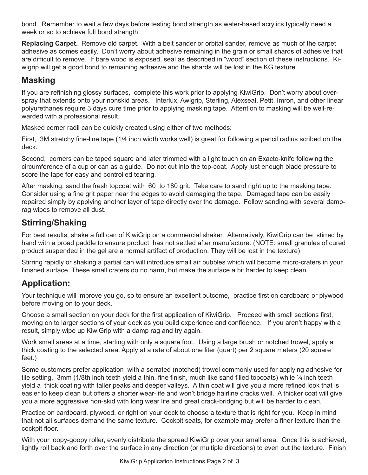bond. Remember to wait a few days before testing bond strength as water-based acrylics typically need a week or so to achieve full bond strength.

**Replacing Carpet.** Remove old carpet. With a belt sander or orbital sander, remove as much of the carpet adhesive as comes easily. Don't worry about adhesive remaining in the grain or small shards of adhesive that are difficult to remove. If bare wood is exposed, seal as described in "wood" section of these instructions. Kiwigrip will get a good bond to remaining adhesive and the shards will be lost in the KG texture.

## **Masking**

If you are refinishing glossy surfaces, complete this work prior to applying KiwiGrip. Don't worry about overspray that extends onto your nonskid areas. Interlux, Awlgrip, Sterling, Alexseal, Petit, Imron, and other linear polyurethanes require 3 days cure time prior to applying masking tape. Attention to masking will be well-rewarded with a professional result.

Masked corner radii can be quickly created using either of two methods:

First, 3M stretchy fine-line tape (1/4 inch width works well) is great for following a pencil radius scribed on the deck.

Second, corners can be taped square and later trimmed with a light touch on an Exacto-knife following the circumference of a cup or can as a guide. Do not cut into the top-coat. Apply just enough blade pressure to score the tape for easy and controlled tearing.

After masking, sand the fresh topcoat with 60 to 180 grit. Take care to sand right up to the masking tape. Consider using a fine grit paper near the edges to avoid damaging the tape. Damaged tape can be easily repaired simply by applying another layer of tape directly over the damage. Follow sanding with several damprag wipes to remove all dust.

## **Stirring/Shaking**

For best results, shake a full can of KiwiGrip on a commercial shaker. Alternatively, KiwiGrip can be stirred by hand with a broad paddle to ensure product has not settled after manufacture. (NOTE: small granules of cured product suspended in the gel are a normal artifact of production. They will be lost in the texture)

Stirring rapidly or shaking a partial can will introduce small air bubbles which will become micro-craters in your finished surface. These small craters do no harm, but make the surface a bit harder to keep clean.

# **Application:**

Your technique will improve you go, so to ensure an excellent outcome, practice first on cardboard or plywood before moving on to your deck.

Choose a small section on your deck for the first application of KiwiGrip. Proceed with small sections first, moving on to larger sections of your deck as you build experience and confidence. If you aren't happy with a result, simply wipe up KiwiGrip with a damp rag and try again.

Work small areas at a time, starting with only a square foot. Using a large brush or notched trowel, apply a thick coating to the selected area. Apply at a rate of about one liter (quart) per 2 square meters (20 square feet.)

Some customers prefer application with a serrated (notched) trowel commonly used for applying adhesive for tile setting. 3mm (1/8th inch teeth yield a thin, fine finish, much like sand filled topcoats) while ¼ inch teeth yield a thick coating with taller peaks and deeper valleys. A thin coat will give you a more refined look that is easier to keep clean but offers a shorter wear-life and won't bridge hairline cracks well. A thicker coat will give you a more aggressive non-skid with long wear life and great crack-bridging but will be harder to clean.

Practice on cardboard, plywood, or right on your deck to choose a texture that is right for you. Keep in mind that not all surfaces demand the same texture. Cockpit seats, for example may prefer a finer texture than the cockpit floor.

With your loopy-goopy roller, evenly distribute the spread KiwiGrip over your small area. Once this is achieved, lightly roll back and forth over the surface in any direction (or multiple directions) to even out the texture. Finish